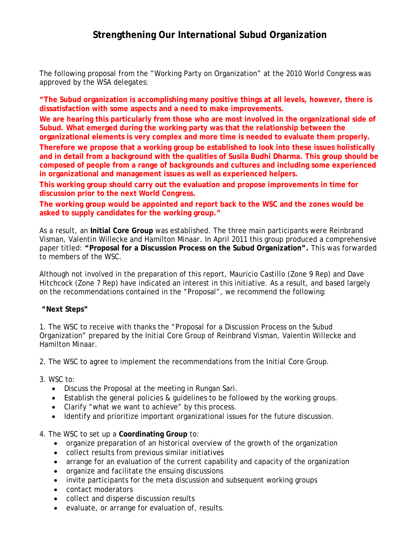## **Strengthening Our International Subud Organization**

The following proposal from the "Working Party on Organization" at the 2010 World Congress was approved by the WSA delegates:

**"The Subud organization is accomplishing many positive things at all levels, however, there is dissatisfaction with some aspects and a need to make improvements.**

**We are hearing this particularly from those who are most involved in the organizational side of Subud. What emerged during the working party was that the relationship between the organizational elements is very complex and more time is needed to evaluate them properly.**

**Therefore we propose that a working group be established to look into these issues holistically and in detail from a background with the qualities of Susila Budhi Dharma. This group should be composed of people from a range of backgrounds and cultures and including some experienced in organizational and management issues as well as experienced helpers.**

**This working group should carry out the evaluation and propose improvements in time for discussion prior to the next World Congress.**

**The working group would be appointed and report back to the WSC and the zones would be asked to supply candidates for the working group."**

As a result, an **Initial Core Group** was established. The three main participants were Reinbrand Visman, Valentin Willecke and Hamilton Minaar. In April 2011 this group produced a comprehensive paper titled: **"Proposal for a Discussion Process on the Subud Organization".** This was forwarded to members of the WSC.

Although not involved in the preparation of this report, Mauricio Castillo (Zone 9 Rep) and Dave Hitchcock (Zone 7 Rep) have indicated an interest in this initiative. As a result, and based largely on the recommendations contained in the "Proposal", we recommend the following:

## **"Next Steps"**

1. The WSC to receive with thanks the "Proposal for a Discussion Process on the Subud Organization" prepared by the Initial Core Group of Reinbrand Visman, Valentin Willecke and Hamilton Minaar.

2. The WSC to agree to implement the recommendations from the Initial Core Group.

- 3. WSC to:
	- Discuss the Proposal at the meeting in Rungan Sari.
	- Establish the general policies & guidelines to be followed by the working groups.
	- Clarify "what we want to achieve" by this process.
	- Identify and prioritize important organizational issues for the future discussion.
- 4. The WSC to set up a **Coordinating Group** to:
	- organize preparation of an historical overview of the growth of the organization
	- collect results from previous similar initiatives
	- arrange for an evaluation of the current capability and capacity of the organization
	- organize and facilitate the ensuing discussions
	- invite participants for the meta discussion and subsequent working groups
	- contact moderators
	- collect and disperse discussion results
	- evaluate, or arrange for evaluation of, results.